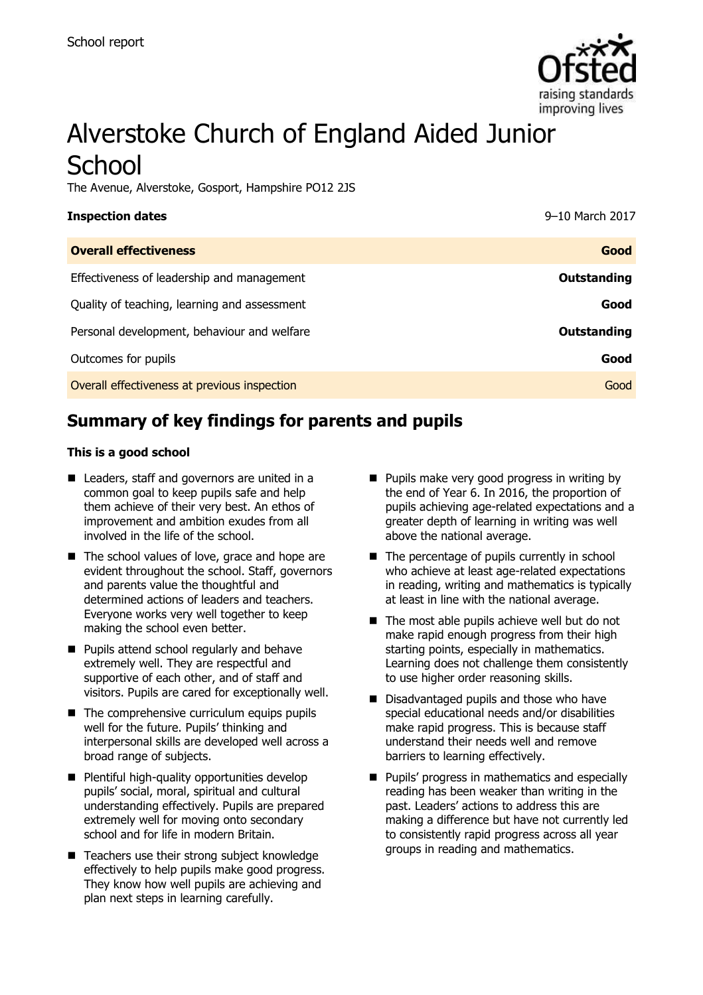

# Alverstoke Church of England Aided Junior **School**

The Avenue, Alverstoke, Gosport, Hampshire PO12 2JS

| <b>Inspection dates</b>                      | 9-10 March 2017    |
|----------------------------------------------|--------------------|
| <b>Overall effectiveness</b>                 | Good               |
| Effectiveness of leadership and management   | <b>Outstanding</b> |
| Quality of teaching, learning and assessment | Good               |
| Personal development, behaviour and welfare  | <b>Outstanding</b> |
| Outcomes for pupils                          | Good               |
| Overall effectiveness at previous inspection | Good               |
|                                              |                    |

# **Summary of key findings for parents and pupils**

#### **This is a good school**

- Leaders, staff and governors are united in a common goal to keep pupils safe and help them achieve of their very best. An ethos of improvement and ambition exudes from all involved in the life of the school.
- The school values of love, grace and hope are evident throughout the school. Staff, governors and parents value the thoughtful and determined actions of leaders and teachers. Everyone works very well together to keep making the school even better.
- **Pupils attend school regularly and behave** extremely well. They are respectful and supportive of each other, and of staff and visitors. Pupils are cared for exceptionally well.
- $\blacksquare$  The comprehensive curriculum equips pupils well for the future. Pupils' thinking and interpersonal skills are developed well across a broad range of subjects.
- **Plentiful high-quality opportunities develop** pupils' social, moral, spiritual and cultural understanding effectively. Pupils are prepared extremely well for moving onto secondary school and for life in modern Britain.
- Teachers use their strong subject knowledge effectively to help pupils make good progress. They know how well pupils are achieving and plan next steps in learning carefully.
- **Pupils make very good progress in writing by** the end of Year 6. In 2016, the proportion of pupils achieving age-related expectations and a greater depth of learning in writing was well above the national average.
- $\blacksquare$  The percentage of pupils currently in school who achieve at least age-related expectations in reading, writing and mathematics is typically at least in line with the national average.
- $\blacksquare$  The most able pupils achieve well but do not make rapid enough progress from their high starting points, especially in mathematics. Learning does not challenge them consistently to use higher order reasoning skills.
- Disadvantaged pupils and those who have special educational needs and/or disabilities make rapid progress. This is because staff understand their needs well and remove barriers to learning effectively.
- **Pupils' progress in mathematics and especially** reading has been weaker than writing in the past. Leaders' actions to address this are making a difference but have not currently led to consistently rapid progress across all year groups in reading and mathematics.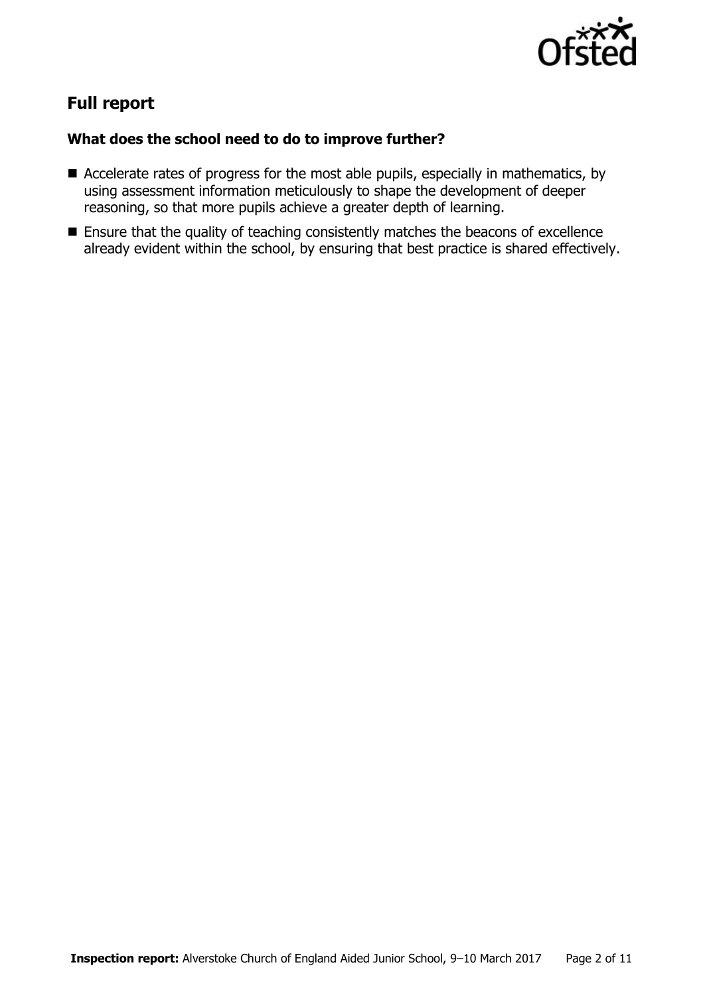

# **Full report**

#### **What does the school need to do to improve further?**

- Accelerate rates of progress for the most able pupils, especially in mathematics, by using assessment information meticulously to shape the development of deeper reasoning, so that more pupils achieve a greater depth of learning.
- **Ensure that the quality of teaching consistently matches the beacons of excellence** already evident within the school, by ensuring that best practice is shared effectively.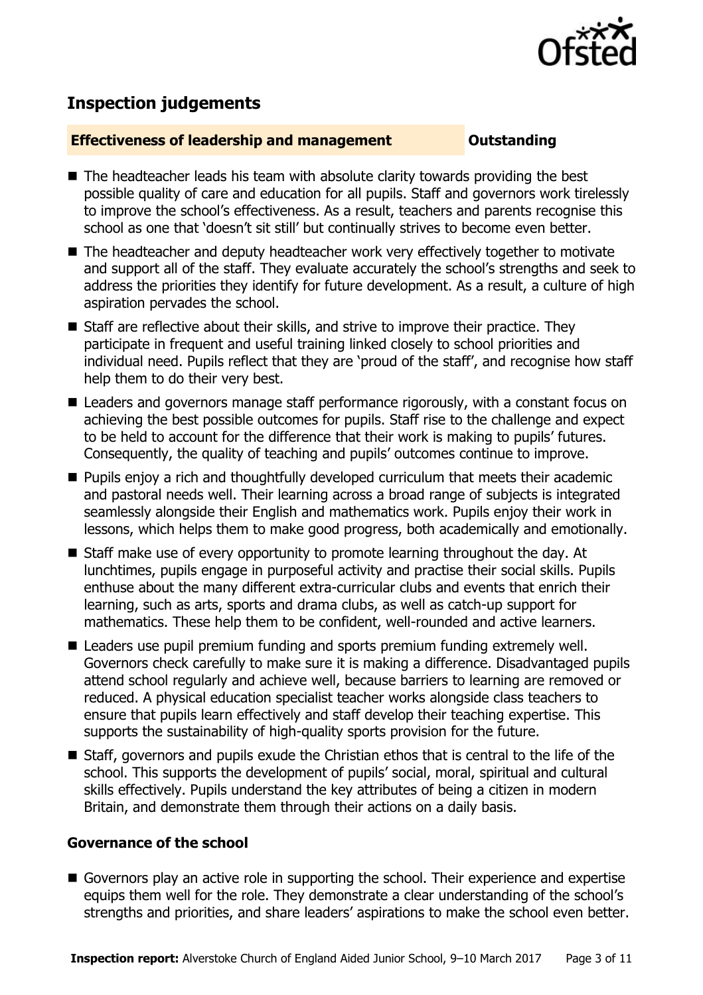

# **Inspection judgements**

#### **Effectiveness of leadership and management COULDER COULDER OUTSTANDING**

- The headteacher leads his team with absolute clarity towards providing the best possible quality of care and education for all pupils. Staff and governors work tirelessly to improve the school's effectiveness. As a result, teachers and parents recognise this school as one that 'doesn't sit still' but continually strives to become even better.
- The headteacher and deputy headteacher work very effectively together to motivate and support all of the staff. They evaluate accurately the school's strengths and seek to address the priorities they identify for future development. As a result, a culture of high aspiration pervades the school.
- Staff are reflective about their skills, and strive to improve their practice. They participate in frequent and useful training linked closely to school priorities and individual need. Pupils reflect that they are 'proud of the staff', and recognise how staff help them to do their very best.
- Leaders and governors manage staff performance rigorously, with a constant focus on achieving the best possible outcomes for pupils. Staff rise to the challenge and expect to be held to account for the difference that their work is making to pupils' futures. Consequently, the quality of teaching and pupils' outcomes continue to improve.
- **Pupils enjoy a rich and thoughtfully developed curriculum that meets their academic** and pastoral needs well. Their learning across a broad range of subjects is integrated seamlessly alongside their English and mathematics work. Pupils enjoy their work in lessons, which helps them to make good progress, both academically and emotionally.
- Staff make use of every opportunity to promote learning throughout the day. At lunchtimes, pupils engage in purposeful activity and practise their social skills. Pupils enthuse about the many different extra-curricular clubs and events that enrich their learning, such as arts, sports and drama clubs, as well as catch-up support for mathematics. These help them to be confident, well-rounded and active learners.
- Leaders use pupil premium funding and sports premium funding extremely well. Governors check carefully to make sure it is making a difference. Disadvantaged pupils attend school regularly and achieve well, because barriers to learning are removed or reduced. A physical education specialist teacher works alongside class teachers to ensure that pupils learn effectively and staff develop their teaching expertise. This supports the sustainability of high-quality sports provision for the future.
- Staff, governors and pupils exude the Christian ethos that is central to the life of the school. This supports the development of pupils' social, moral, spiritual and cultural skills effectively. Pupils understand the key attributes of being a citizen in modern Britain, and demonstrate them through their actions on a daily basis.

#### **Governance of the school**

Governors play an active role in supporting the school. Their experience and expertise equips them well for the role. They demonstrate a clear understanding of the school's strengths and priorities, and share leaders' aspirations to make the school even better.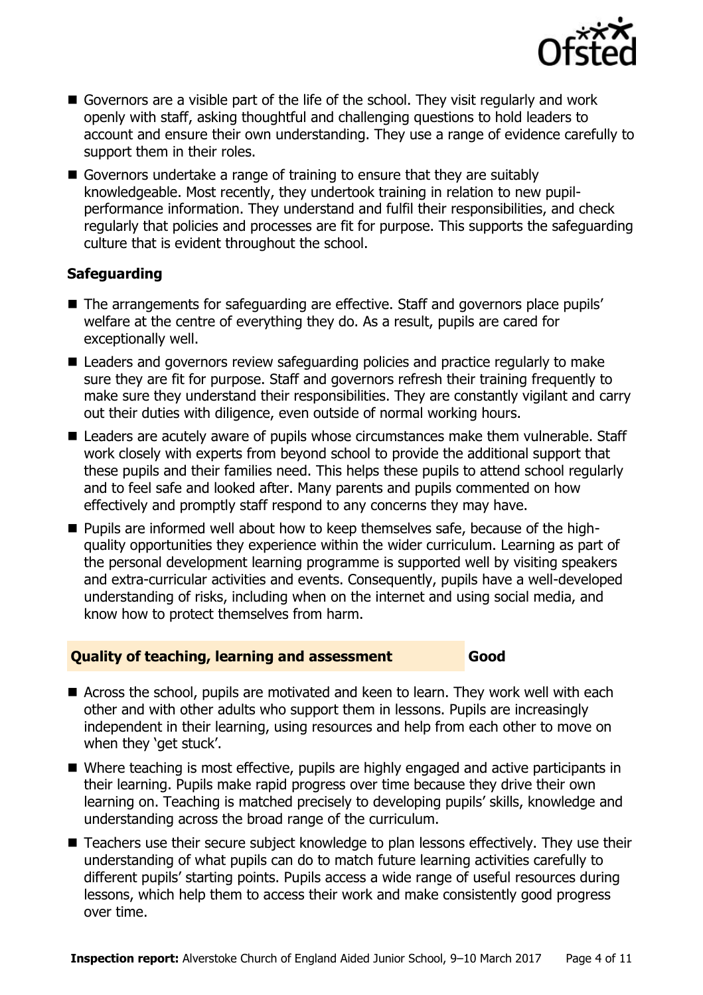

- Governors are a visible part of the life of the school. They visit regularly and work openly with staff, asking thoughtful and challenging questions to hold leaders to account and ensure their own understanding. They use a range of evidence carefully to support them in their roles.
- Governors undertake a range of training to ensure that they are suitably knowledgeable. Most recently, they undertook training in relation to new pupilperformance information. They understand and fulfil their responsibilities, and check regularly that policies and processes are fit for purpose. This supports the safeguarding culture that is evident throughout the school.

### **Safeguarding**

- The arrangements for safeguarding are effective. Staff and governors place pupils' welfare at the centre of everything they do. As a result, pupils are cared for exceptionally well.
- Leaders and governors review safeguarding policies and practice regularly to make sure they are fit for purpose. Staff and governors refresh their training frequently to make sure they understand their responsibilities. They are constantly vigilant and carry out their duties with diligence, even outside of normal working hours.
- Leaders are acutely aware of pupils whose circumstances make them vulnerable. Staff work closely with experts from beyond school to provide the additional support that these pupils and their families need. This helps these pupils to attend school regularly and to feel safe and looked after. Many parents and pupils commented on how effectively and promptly staff respond to any concerns they may have.
- **Pupils are informed well about how to keep themselves safe, because of the high**quality opportunities they experience within the wider curriculum. Learning as part of the personal development learning programme is supported well by visiting speakers and extra-curricular activities and events. Consequently, pupils have a well-developed understanding of risks, including when on the internet and using social media, and know how to protect themselves from harm.

#### **Quality of teaching, learning and assessment Good**

- Across the school, pupils are motivated and keen to learn. They work well with each other and with other adults who support them in lessons. Pupils are increasingly independent in their learning, using resources and help from each other to move on when they 'get stuck'.
- Where teaching is most effective, pupils are highly engaged and active participants in their learning. Pupils make rapid progress over time because they drive their own learning on. Teaching is matched precisely to developing pupils' skills, knowledge and understanding across the broad range of the curriculum.
- Teachers use their secure subject knowledge to plan lessons effectively. They use their understanding of what pupils can do to match future learning activities carefully to different pupils' starting points. Pupils access a wide range of useful resources during lessons, which help them to access their work and make consistently good progress over time.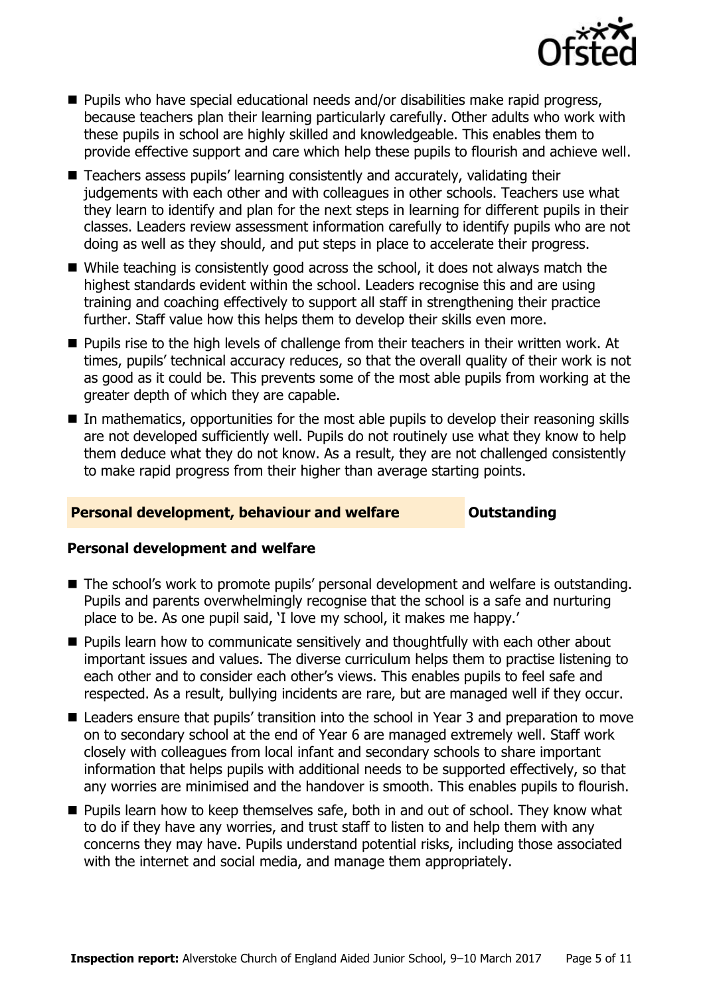

- Pupils who have special educational needs and/or disabilities make rapid progress, because teachers plan their learning particularly carefully. Other adults who work with these pupils in school are highly skilled and knowledgeable. This enables them to provide effective support and care which help these pupils to flourish and achieve well.
- Teachers assess pupils' learning consistently and accurately, validating their judgements with each other and with colleagues in other schools. Teachers use what they learn to identify and plan for the next steps in learning for different pupils in their classes. Leaders review assessment information carefully to identify pupils who are not doing as well as they should, and put steps in place to accelerate their progress.
- While teaching is consistently good across the school, it does not always match the highest standards evident within the school. Leaders recognise this and are using training and coaching effectively to support all staff in strengthening their practice further. Staff value how this helps them to develop their skills even more.
- **Pupils rise to the high levels of challenge from their teachers in their written work. At** times, pupils' technical accuracy reduces, so that the overall quality of their work is not as good as it could be. This prevents some of the most able pupils from working at the greater depth of which they are capable.
- In mathematics, opportunities for the most able pupils to develop their reasoning skills are not developed sufficiently well. Pupils do not routinely use what they know to help them deduce what they do not know. As a result, they are not challenged consistently to make rapid progress from their higher than average starting points.

#### **Personal development, behaviour and welfare <b>COU COULDER** Outstanding

#### **Personal development and welfare**

- The school's work to promote pupils' personal development and welfare is outstanding. Pupils and parents overwhelmingly recognise that the school is a safe and nurturing place to be. As one pupil said, 'I love my school, it makes me happy.'
- **Pupils learn how to communicate sensitively and thoughtfully with each other about** important issues and values. The diverse curriculum helps them to practise listening to each other and to consider each other's views. This enables pupils to feel safe and respected. As a result, bullying incidents are rare, but are managed well if they occur.
- Leaders ensure that pupils' transition into the school in Year 3 and preparation to move on to secondary school at the end of Year 6 are managed extremely well. Staff work closely with colleagues from local infant and secondary schools to share important information that helps pupils with additional needs to be supported effectively, so that any worries are minimised and the handover is smooth. This enables pupils to flourish.
- **Pupils learn how to keep themselves safe, both in and out of school. They know what** to do if they have any worries, and trust staff to listen to and help them with any concerns they may have. Pupils understand potential risks, including those associated with the internet and social media, and manage them appropriately.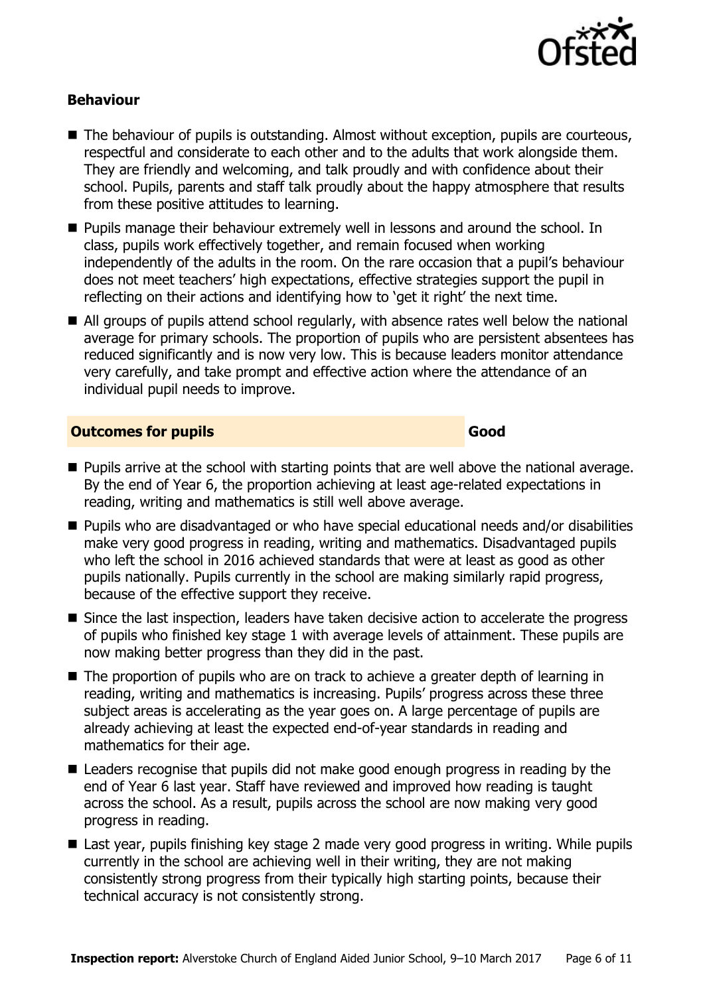

#### **Behaviour**

- The behaviour of pupils is outstanding. Almost without exception, pupils are courteous, respectful and considerate to each other and to the adults that work alongside them. They are friendly and welcoming, and talk proudly and with confidence about their school. Pupils, parents and staff talk proudly about the happy atmosphere that results from these positive attitudes to learning.
- **Pupils manage their behaviour extremely well in lessons and around the school. In** class, pupils work effectively together, and remain focused when working independently of the adults in the room. On the rare occasion that a pupil's behaviour does not meet teachers' high expectations, effective strategies support the pupil in reflecting on their actions and identifying how to 'get it right' the next time.
- All groups of pupils attend school regularly, with absence rates well below the national average for primary schools. The proportion of pupils who are persistent absentees has reduced significantly and is now very low. This is because leaders monitor attendance very carefully, and take prompt and effective action where the attendance of an individual pupil needs to improve.

#### **Outcomes for pupils Good**

- **Pupils arrive at the school with starting points that are well above the national average.** By the end of Year 6, the proportion achieving at least age-related expectations in reading, writing and mathematics is still well above average.
- Pupils who are disadvantaged or who have special educational needs and/or disabilities make very good progress in reading, writing and mathematics. Disadvantaged pupils who left the school in 2016 achieved standards that were at least as good as other pupils nationally. Pupils currently in the school are making similarly rapid progress, because of the effective support they receive.
- Since the last inspection, leaders have taken decisive action to accelerate the progress of pupils who finished key stage 1 with average levels of attainment. These pupils are now making better progress than they did in the past.
- The proportion of pupils who are on track to achieve a greater depth of learning in reading, writing and mathematics is increasing. Pupils' progress across these three subject areas is accelerating as the year goes on. A large percentage of pupils are already achieving at least the expected end-of-year standards in reading and mathematics for their age.
- Leaders recognise that pupils did not make good enough progress in reading by the end of Year 6 last year. Staff have reviewed and improved how reading is taught across the school. As a result, pupils across the school are now making very good progress in reading.
- Last year, pupils finishing key stage 2 made very good progress in writing. While pupils currently in the school are achieving well in their writing, they are not making consistently strong progress from their typically high starting points, because their technical accuracy is not consistently strong.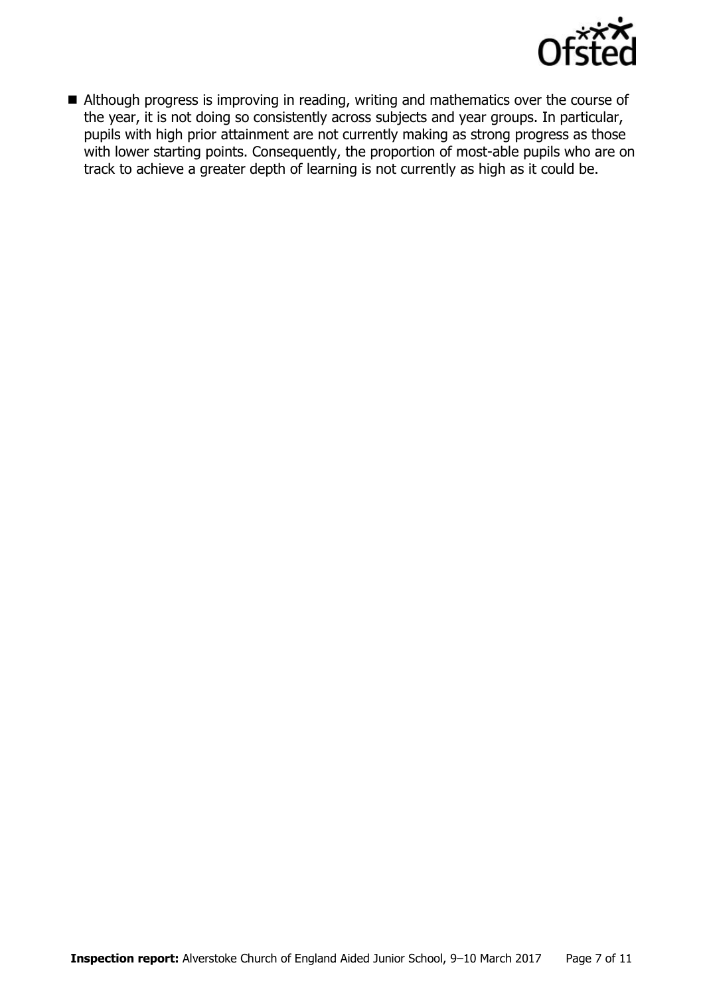

Although progress is improving in reading, writing and mathematics over the course of the year, it is not doing so consistently across subjects and year groups. In particular, pupils with high prior attainment are not currently making as strong progress as those with lower starting points. Consequently, the proportion of most-able pupils who are on track to achieve a greater depth of learning is not currently as high as it could be.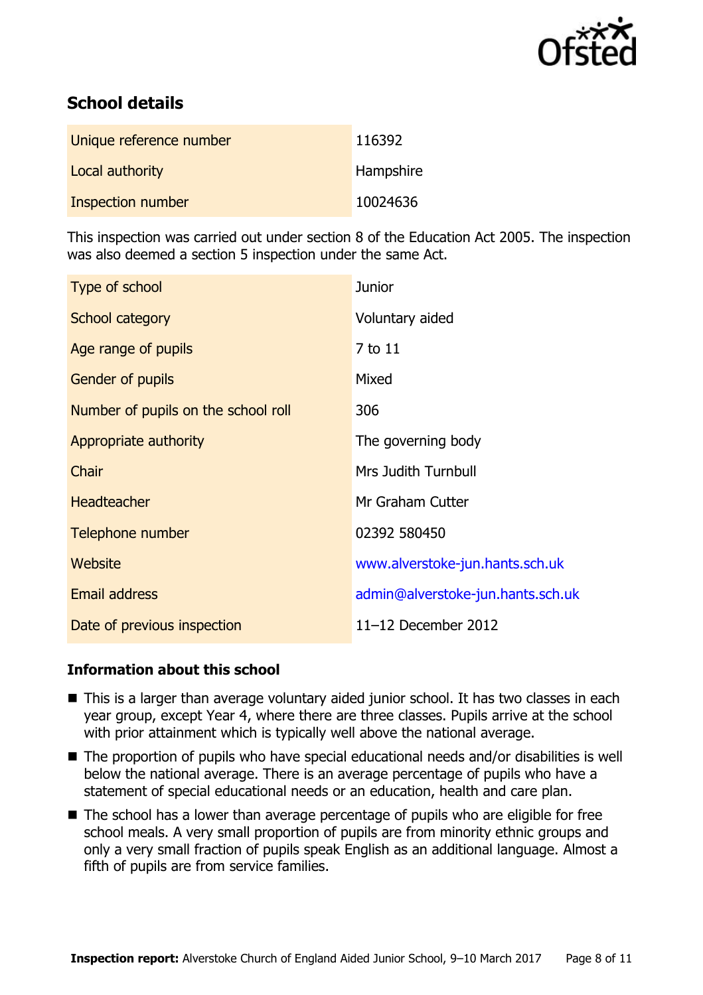

# **School details**

| Unique reference number | 116392    |
|-------------------------|-----------|
| Local authority         | Hampshire |
| Inspection number       | 10024636  |

This inspection was carried out under section 8 of the Education Act 2005. The inspection was also deemed a section 5 inspection under the same Act.

| Type of school                      | <b>Junior</b>                     |
|-------------------------------------|-----------------------------------|
| School category                     | Voluntary aided                   |
| Age range of pupils                 | 7 to 11                           |
| <b>Gender of pupils</b>             | Mixed                             |
| Number of pupils on the school roll | 306                               |
| Appropriate authority               | The governing body                |
| Chair                               | <b>Mrs Judith Turnbull</b>        |
| <b>Headteacher</b>                  | Mr Graham Cutter                  |
| Telephone number                    | 02392 580450                      |
| Website                             | www.alverstoke-jun.hants.sch.uk   |
| Email address                       | admin@alverstoke-jun.hants.sch.uk |
| Date of previous inspection         | 11-12 December 2012               |

#### **Information about this school**

- This is a larger than average voluntary aided junior school. It has two classes in each year group, except Year 4, where there are three classes. Pupils arrive at the school with prior attainment which is typically well above the national average.
- The proportion of pupils who have special educational needs and/or disabilities is well below the national average. There is an average percentage of pupils who have a statement of special educational needs or an education, health and care plan.
- The school has a lower than average percentage of pupils who are eligible for free school meals. A very small proportion of pupils are from minority ethnic groups and only a very small fraction of pupils speak English as an additional language. Almost a fifth of pupils are from service families.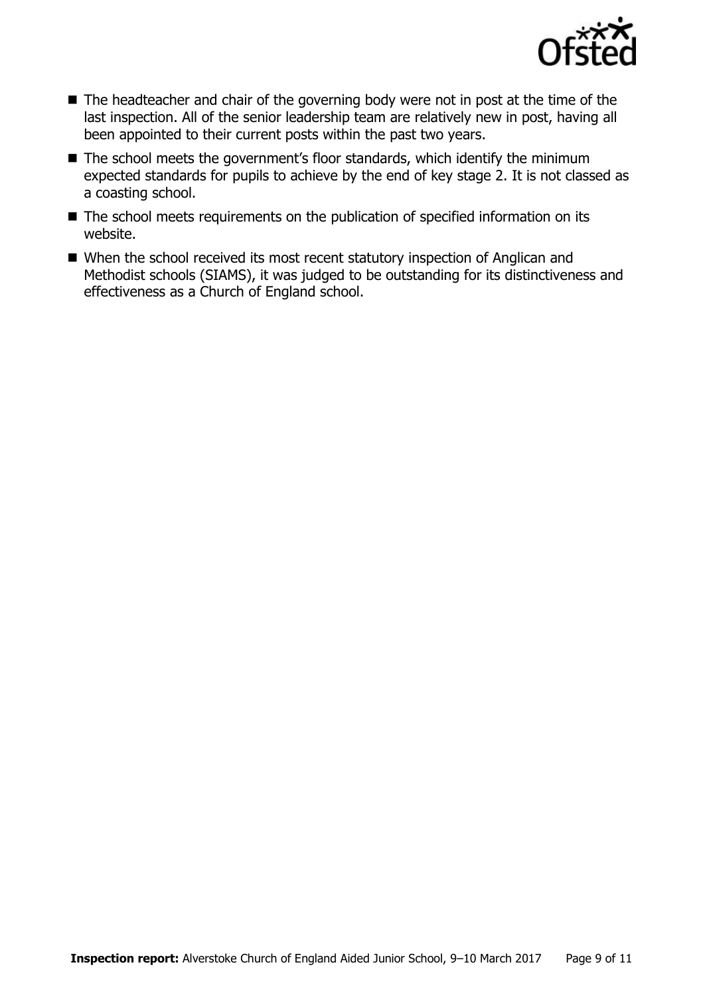

- $\blacksquare$  The headteacher and chair of the governing body were not in post at the time of the last inspection. All of the senior leadership team are relatively new in post, having all been appointed to their current posts within the past two years.
- The school meets the government's floor standards, which identify the minimum expected standards for pupils to achieve by the end of key stage 2. It is not classed as a coasting school.
- The school meets requirements on the publication of specified information on its website.
- When the school received its most recent statutory inspection of Anglican and Methodist schools (SIAMS), it was judged to be outstanding for its distinctiveness and effectiveness as a Church of England school.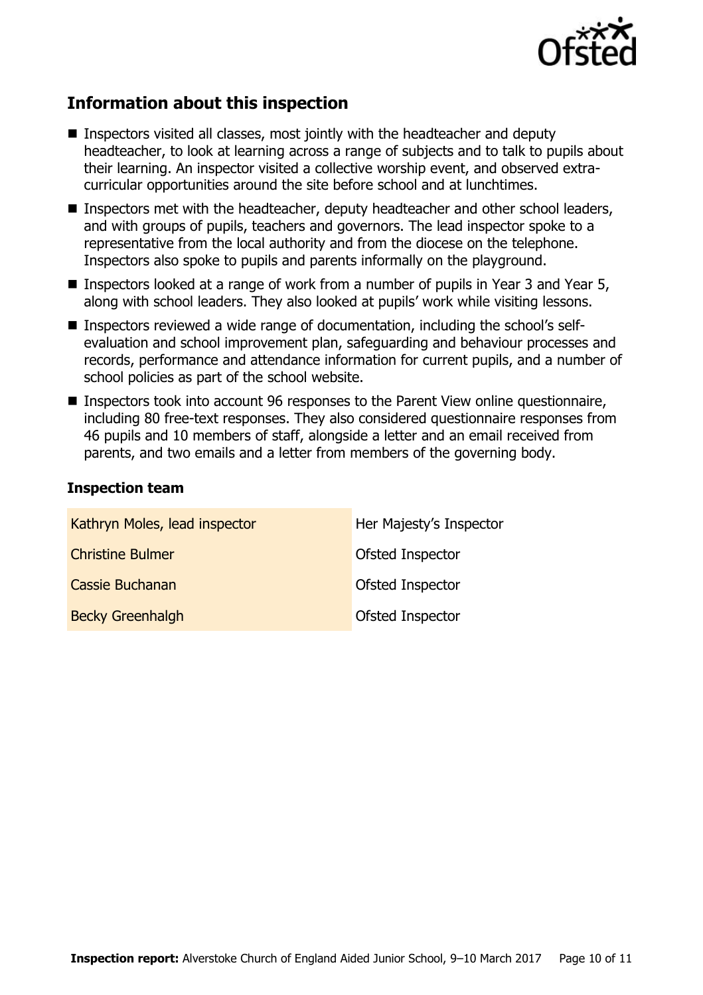

# **Information about this inspection**

- Inspectors visited all classes, most jointly with the headteacher and deputy headteacher, to look at learning across a range of subjects and to talk to pupils about their learning. An inspector visited a collective worship event, and observed extracurricular opportunities around the site before school and at lunchtimes.
- Inspectors met with the headteacher, deputy headteacher and other school leaders, and with groups of pupils, teachers and governors. The lead inspector spoke to a representative from the local authority and from the diocese on the telephone. Inspectors also spoke to pupils and parents informally on the playground.
- Inspectors looked at a range of work from a number of pupils in Year 3 and Year 5, along with school leaders. They also looked at pupils' work while visiting lessons.
- Inspectors reviewed a wide range of documentation, including the school's selfevaluation and school improvement plan, safeguarding and behaviour processes and records, performance and attendance information for current pupils, and a number of school policies as part of the school website.
- Inspectors took into account 96 responses to the Parent View online questionnaire, including 80 free-text responses. They also considered questionnaire responses from 46 pupils and 10 members of staff, alongside a letter and an email received from parents, and two emails and a letter from members of the governing body.

#### **Inspection team**

| Kathryn Moles, lead inspector | Her Majesty's Inspector |
|-------------------------------|-------------------------|
| <b>Christine Bulmer</b>       | Ofsted Inspector        |
| Cassie Buchanan               | Ofsted Inspector        |
| <b>Becky Greenhalgh</b>       | Ofsted Inspector        |